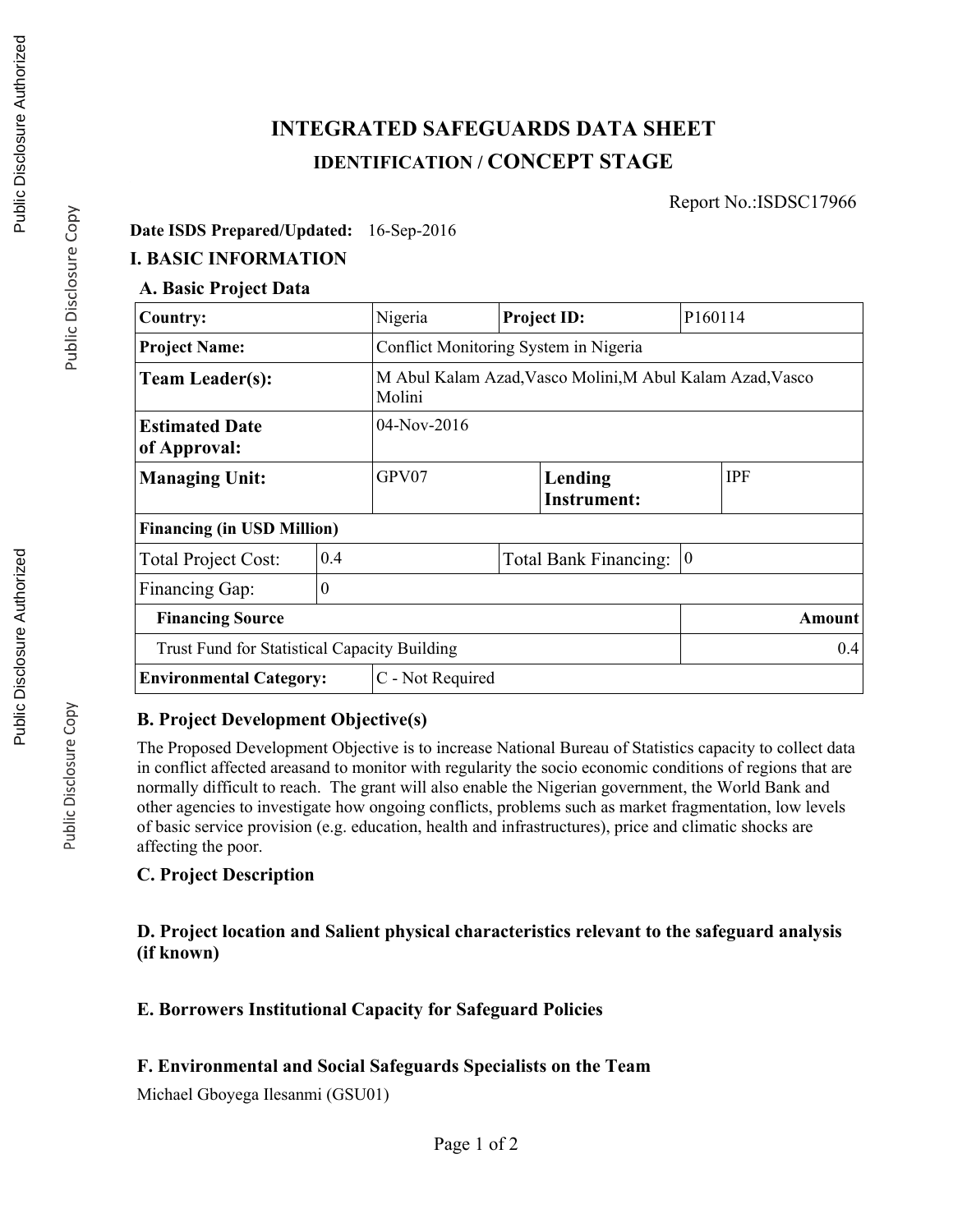# **INTEGRATED SAFEGUARDS DATA SHEET IDENTIFICATION / CONCEPT STAGE**

Report No.:ISDSC17966

#### **Date ISDS Prepared/Updated:** 16-Sep-2016

### **I. BASIC INFORMATION**

### **A. Basic Project Data**

| Country:                                            |                  | Nigeria                                                             |  | <b>Project ID:</b>            | P <sub>160114</sub> |            |  |
|-----------------------------------------------------|------------------|---------------------------------------------------------------------|--|-------------------------------|---------------------|------------|--|
| <b>Project Name:</b>                                |                  | Conflict Monitoring System in Nigeria                               |  |                               |                     |            |  |
| <b>Team Leader(s):</b>                              |                  | M Abul Kalam Azad, Vasco Molini, M Abul Kalam Azad, Vasco<br>Molini |  |                               |                     |            |  |
| <b>Estimated Date</b><br>of Approval:               | 04-Nov-2016      |                                                                     |  |                               |                     |            |  |
| <b>Managing Unit:</b>                               |                  | GPV07                                                               |  | Lending<br><b>Instrument:</b> |                     | <b>IPF</b> |  |
| <b>Financing (in USD Million)</b>                   |                  |                                                                     |  |                               |                     |            |  |
| <b>Total Project Cost:</b>                          | 0.4              |                                                                     |  | <b>Total Bank Financing:</b>  | $\vert 0 \vert$     |            |  |
| Financing Gap:                                      | $\theta$         |                                                                     |  |                               |                     |            |  |
| <b>Financing Source</b>                             |                  |                                                                     |  |                               |                     | Amount     |  |
| <b>Trust Fund for Statistical Capacity Building</b> |                  |                                                                     |  |                               |                     | 0.4        |  |
| <b>Environmental Category:</b>                      | C - Not Required |                                                                     |  |                               |                     |            |  |

#### **B. Project Development Objective(s)**

The Proposed Development Objective is to increase National Bureau of Statistics capacity to collect data in conflict affected areasand to monitor with regularity the socio economic conditions of regions that are normally difficult to reach. The grant will also enable the Nigerian government, the World Bank and other agencies to investigate how ongoing conflicts, problems such as market fragmentation, low levels of basic service provision (e.g. education, health and infrastructures), price and climatic shocks are affecting the poor.

#### **C. Project Description**

#### **D. Project location and Salient physical characteristics relevant to the safeguard analysis (if known)**

#### **E. Borrowers Institutional Capacity for Safeguard Policies**

#### **F. Environmental and Social Safeguards Specialists on the Team**

Michael Gboyega Ilesanmi (GSU01)

Public Disclosure Copy

Public Disclosure Copy